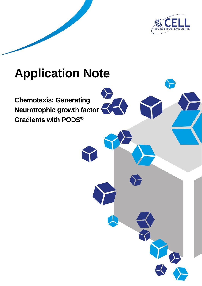

# **Application Note**

**Chemotaxis: Generating Neurotrophic growth factor Gradients with PODS®**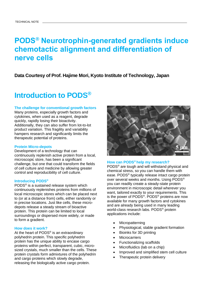# **PODS® Neurotrophin-generated gradients induce chemotactic alignment and differentiation of nerve cells**

### **Data Courtesy of Prof. Hajime Mori, Kyoto Institute of Technology, Japan**

## **Introduction to PODS®**

### **The challenge for conventional growth factors**

Many proteins, especially growth factors and cytokines, when used as a reagent, degrade quickly, rapidly losing their bioactivity. Additionally, they can also suffer from lot-to-lot product variation. This fragility and variability hampers research and significantly limits the therapeutic potential of proteins.

#### **Protein Micro-depots**

Development of a technology that can continuously replenish active protein from a local, microscopic store, has been a significant challenge, but one that could transform the fields of cell culture and medicine by allowing greater control and reproducibility of cell culture.

### **Introducing PODS®**

PODS® is a sustained release system which continuously replenishes proteins from millions of local microscopic stores which can be placed next to (or at a distance from) cells, either randomly or in precise locations. Just like cells, these microdepots release a steady stream of bioactive protein. This protein can be limited to local surroundings or dispersed more widely, or made to form a gradient.

#### **How does it work?**

At the heart of PODS<sup>®</sup> is an extraordinary polyhedrin protein. This specific polyhedrin protein has the unique ability to encase cargo proteins within perfect, transparent, cubic, microsized crystals, much smaller than the cells. These protein crystals form admixtures of the polyhedrin and cargo proteins which slowly degrade, releasing the biologically active cargo protein.



### **How can PODS® help my research?**

PODS® are tough and will withstand physical and chemical stress, so you can handle them with ease. PODS® typically release intact cargo protein over several weeks and months. Using PODS® you can readily create a steady-state protein environment in microscopic detail wherever you want, tailored exactly to your requirements. This is the power of PODS®. PODS® proteins are now available for many growth factors and cytokines and are already being used in many leading world-class research labs. PODS® protein applications include:

- **Micropatterning**
- Physiological, stable gradient formation
- Bioinks for 3D printing
- **Microcarriers**
- Functionalizing scaffolds
- Microfluidics (lab on a chip)
- Improved and simplified stem cell culture
- Therapeutic protein delivery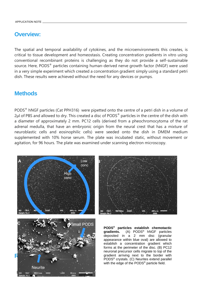### **Overview:**

The spatial and temporal availability of cytokines, and the microenvironments this creates, is critical to tissue development and homeostasis. Creating concentration gradients in vitro using conventional recombinant proteins is challenging as they do not provide a self-sustainable source. Here, PODS<sup>®</sup> particles containing human-derived nerve growth factor (hNGF) were used in a very simple experiment which created a concentration gradient simply using a standard petri dish. These results were achieved without the need for any devices or pumps.

### **Methods**

PODS® hNGF particles (Cat PPH316) were pipetted onto the centre of a petri dish in a volume of 2µl of PBS and allowed to dry. This created a disc of PODS<sup>®</sup> particles in the centre of the dish with a diameter of approximately 2 mm. PC12 cells (derived from a pheochromocytoma of the rat adrenal medulla, that have an embryonic origin from the neural crest that has a mixture of neuroblastic cells and eosinophilic cells) were seeded onto the dish in DMEM medium supplemented with 10% horse serum. The plate was incubated static, without movement or agitation, for 96 hours. The plate was examined under scanning electron microscopy.







**PODS® particles establish chemotactic gradients.** (A) PODS® hNGF particles deposited in a 2 mm disc (granular appearance within blue oval) are allowed to establish a concentration gradient which forms at the perimeter of the disc. (B) PC12 neuronal precursor cells migrate to top of the gradient arriving next to the border with PODS® crystals. (C) Neurites extend parallel with the edge of the PODS<sup>®</sup> particle field.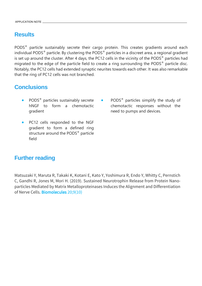### **Results**

PODS® particle sustainably secrete their cargo protein. This creates gradients around each individual PODS® particle. By clustering the PODS® particles in a discreet area, a regional gradient is set up around the cluster. After 4 days, the PC12 cells in the vicinity of the PODS<sup>®</sup> particles had migrated to the edge of the particle field to create a ring surrounding the PODS® particle disc. Notably, the PC12 cells had extended synaptic neurites towards each other. It was also remarkable that the ring of PC12 cells was not branched.

### **Conclusions**

- PODS® particles sustainably secrete hNGF to form a chemotactic gradient
- PC12 cells responded to the NGF gradient to form a defined ring structure around the PODS<sup>®</sup> particle field
- PODS® particles simplify the study of chemotactic responses without the need to pumps and devices.

### **Further reading**

Matsuzaki Y, Maruta R, Takaki K, Kotani E, Kato Y, Yoshimura R, Endo Y, Whitty C, Pernstich C, Gandhi R, Jones M, Mori H. (2019). Sustained Neurotrophin Release from Protein Nanoparticles Mediated by Matrix Metalloproteinases Induces the Alignment and Differentiation of Nerve Cells. [Biomolecules](https://www.ncbi.nlm.nih.gov/pubmed/31546991) 20;9(10)